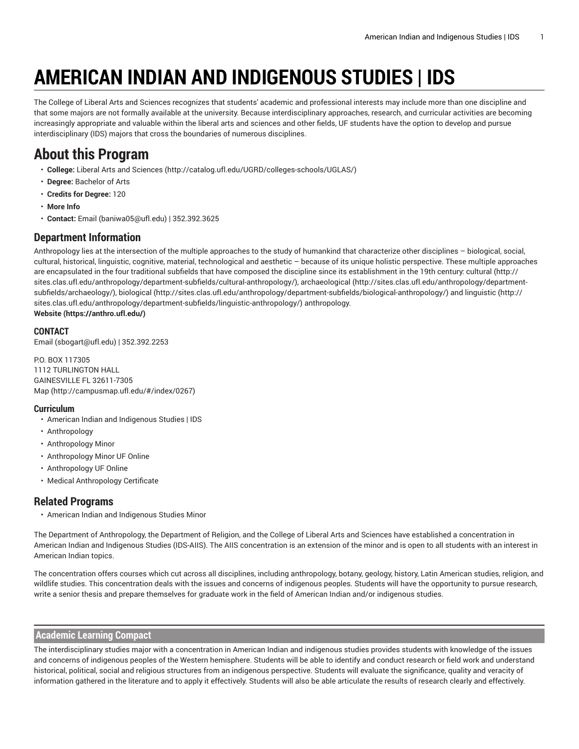# **AMERICAN INDIAN AND INDIGENOUS STUDIES | IDS**

The College of Liberal Arts and Sciences recognizes that students' academic and professional interests may include more than one discipline and that some majors are not formally available at the university. Because interdisciplinary approaches, research, and curricular activities are becoming increasingly appropriate and valuable within the liberal arts and sciences and other fields, UF students have the option to develop and pursue interdisciplinary (IDS) majors that cross the boundaries of numerous disciplines.

# **About this Program**

- **College:** Liberal Arts and [Sciences](http://catalog.ufl.edu/UGRD/colleges-schools/UGLAS/) ([http://catalog.ufl.edu/UGRD/colleges-schools/UGLAS/\)](http://catalog.ufl.edu/UGRD/colleges-schools/UGLAS/)
- **Degree:** Bachelor of Arts
- **Credits for Degree:** 120
- **More Info**
- **Contact:** [Email](mailto:baniwa05@ufl.edu) [\(baniwa05@ufl.edu\)](baniwa05@ufl.edu) | 352.392.3625

# **Department Information**

Anthropology lies at the intersection of the multiple approaches to the study of humankind that characterize other disciplines – biological, social, cultural, historical, linguistic, cognitive, material, technological and aesthetic – because of its unique holistic perspective. These multiple approaches are encapsulated in the four traditional subfields that have composed the discipline since its establishment in the 19th century: [cultural](http://sites.clas.ufl.edu/anthropology/department-subfields/cultural-anthropology/) ([http://](http://sites.clas.ufl.edu/anthropology/department-subfields/cultural-anthropology/) [sites.clas.ufl.edu/anthropology/department-subfields/cultural-anthropology/\)](http://sites.clas.ufl.edu/anthropology/department-subfields/cultural-anthropology/), [archaeological \(http://sites.clas.ufl.edu/anthropology/department](http://sites.clas.ufl.edu/anthropology/department-subfields/archaeology/)[subfields/archaeology/](http://sites.clas.ufl.edu/anthropology/department-subfields/archaeology/)), [biological](http://sites.clas.ufl.edu/anthropology/department-subfields/biological-anthropology/) [\(http://sites.clas.ufl.edu/anthropology/department-subfields/biological-anthropology/\)](http://sites.clas.ufl.edu/anthropology/department-subfields/biological-anthropology/) and [linguistic \(http://](http://sites.clas.ufl.edu/anthropology/department-subfields/linguistic-anthropology/) [sites.clas.ufl.edu/anthropology/department-subfields/linguistic-anthropology/](http://sites.clas.ufl.edu/anthropology/department-subfields/linguistic-anthropology/)) anthropology. **[Website](https://anthro.ufl.edu/) (<https://anthro.ufl.edu/>)**

## **CONTACT**

[Email](mailto:sbogart@ufl.edu) (<sbogart@ufl.edu>) | 352.392.2253

P.O. BOX 117305 1112 TURLINGTON HALL GAINESVILLE FL 32611-7305 [Map](http://campusmap.ufl.edu/#/index/0267) ([http://campusmap.ufl.edu/#/index/0267\)](http://campusmap.ufl.edu/#/index/0267)

## **Curriculum**

- American Indian and Indigenous Studies | IDS
- Anthropology
- Anthropology Minor
- Anthropology Minor UF Online
- Anthropology UF Online
- Medical Anthropology Certificate

# **Related Programs**

• American Indian and Indigenous Studies Minor

The Department of Anthropology, the Department of Religion, and the College of Liberal Arts and Sciences have established a concentration in American Indian and Indigenous Studies (IDS-AIIS). The AIIS concentration is an extension of the minor and is open to all students with an interest in American Indian topics.

The concentration offers courses which cut across all disciplines, including anthropology, botany, geology, history, Latin American studies, religion, and wildlife studies. This concentration deals with the issues and concerns of indigenous peoples. Students will have the opportunity to pursue research, write a senior thesis and prepare themselves for graduate work in the field of American Indian and/or indigenous studies.

## **Academic Learning Compact**

The interdisciplinary studies major with a concentration in American Indian and indigenous studies provides students with knowledge of the issues and concerns of indigenous peoples of the Western hemisphere. Students will be able to identify and conduct research or field work and understand historical, political, social and religious structures from an indigenous perspective. Students will evaluate the significance, quality and veracity of information gathered in the literature and to apply it effectively. Students will also be able articulate the results of research clearly and effectively.